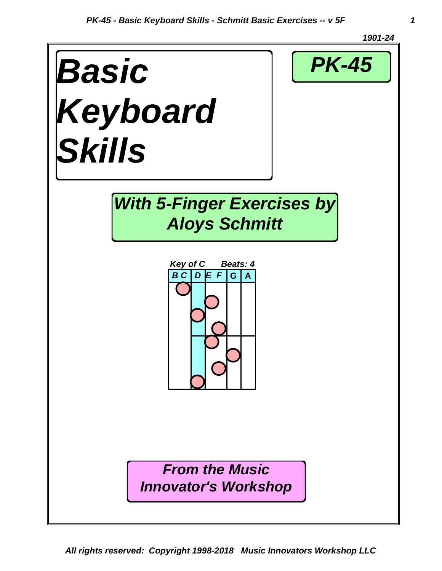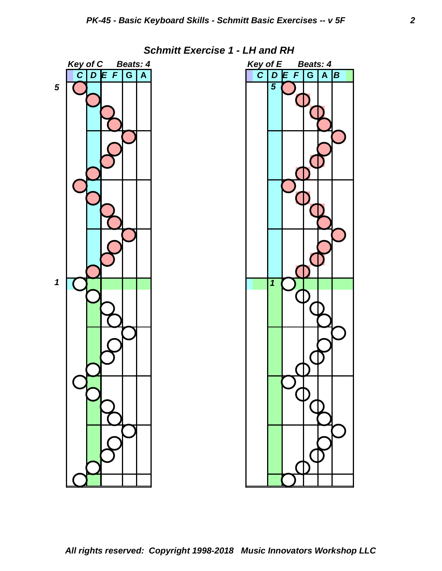

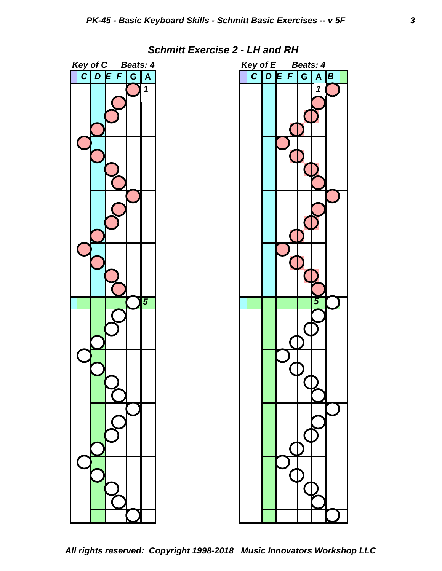



*All rights reserved: Copyright 1998-2018 Music Innovators Workshop LLC*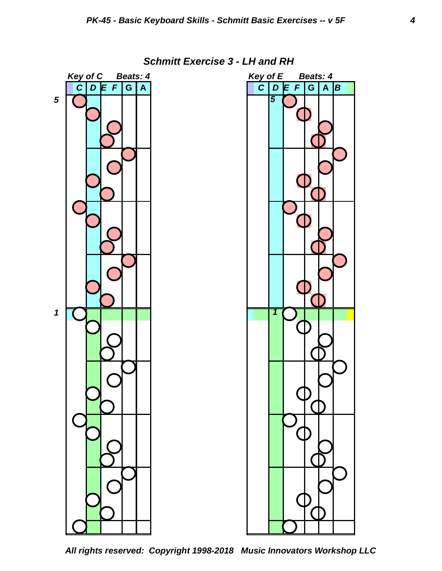*Key of C Beats: 4 Key of E Beats: 4 C D E F* **G A** *C D E F* **G A** *B 5 1 5 1*

 *Schmitt Exercise 3 - LH and RH*

*All rights reserved: Copyright 1998-2018 Music Innovators Workshop LLC*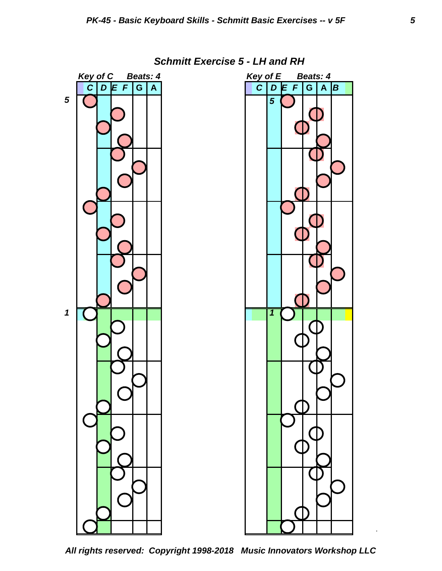

## *Schmitt Exercise 5 - LH and RH*

*All rights reserved: Copyright 1998-2018 Music Innovators Workshop LLC*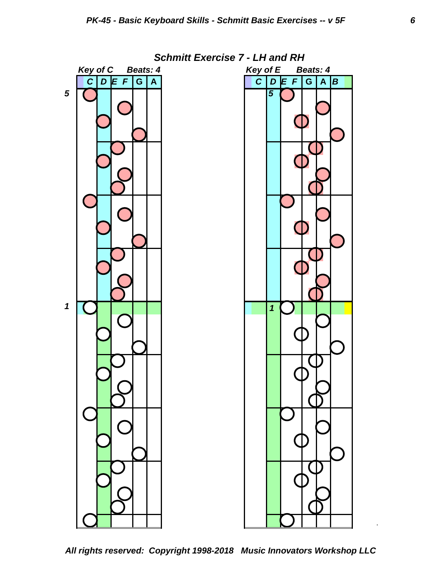

*All rights reserved: Copyright 1998-2018 Music Innovators Workshop LLC*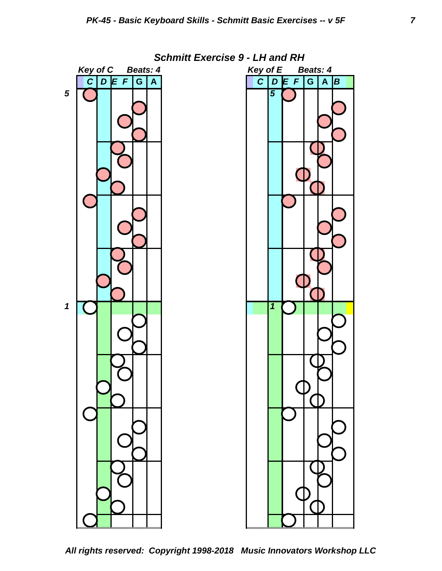

*All rights reserved: Copyright 1998-2018 Music Innovators Workshop LLC*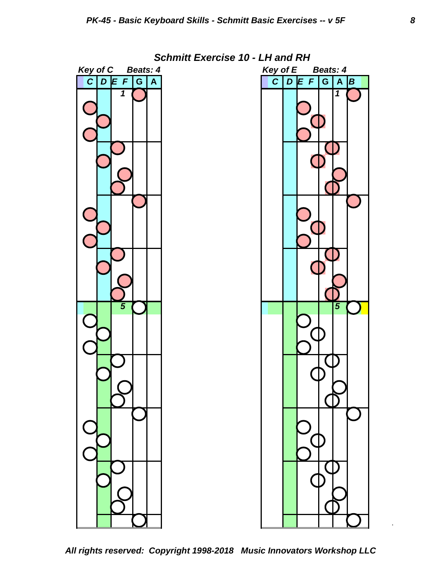

*All rights reserved: Copyright 1998-2018 Music Innovators Workshop LLC*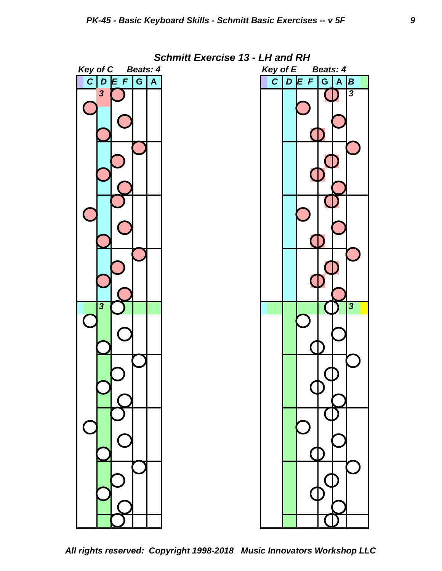

*All rights reserved: Copyright 1998-2018 Music Innovators Workshop LLC*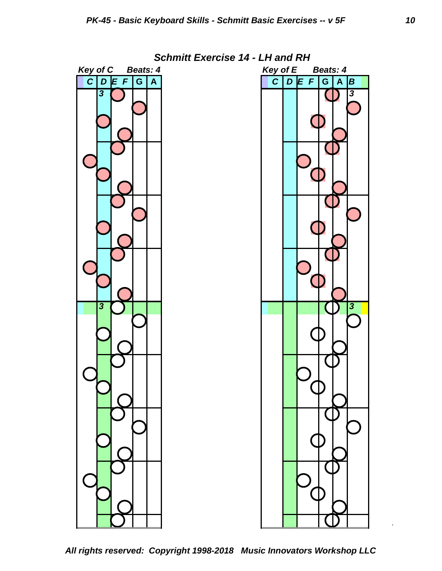

*All rights reserved: Copyright 1998-2018 Music Innovators Workshop LLC*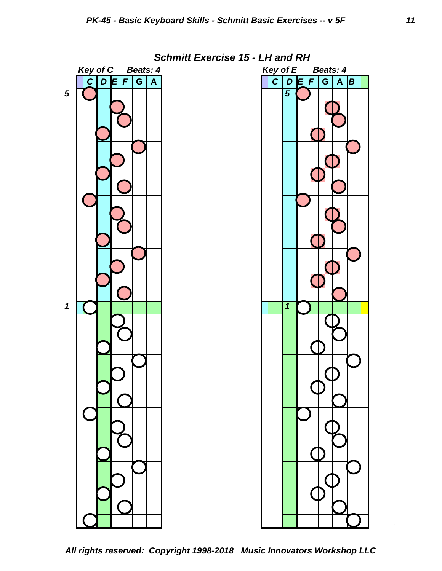

*All rights reserved: Copyright 1998-2018 Music Innovators Workshop LLC*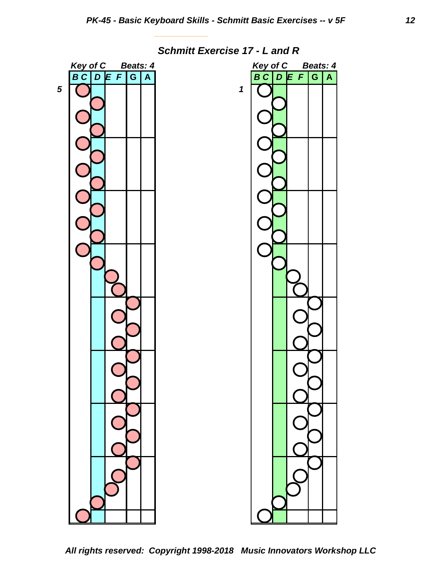

 *Schmitt Exercise 17 - L and R*

*All rights reserved: Copyright 1998-2018 Music Innovators Workshop LLC*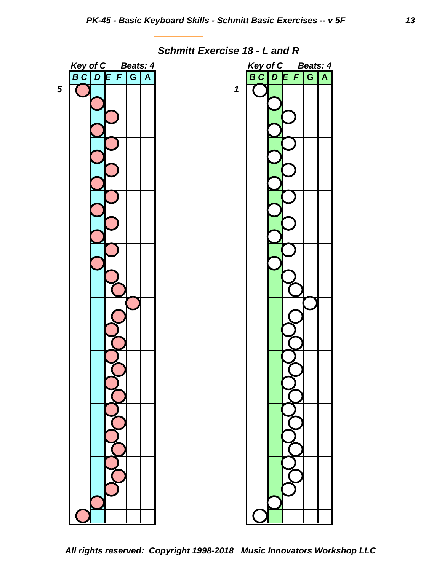

 *Schmitt Exercise 18 - L and R*

*All rights reserved: Copyright 1998-2018 Music Innovators Workshop LLC*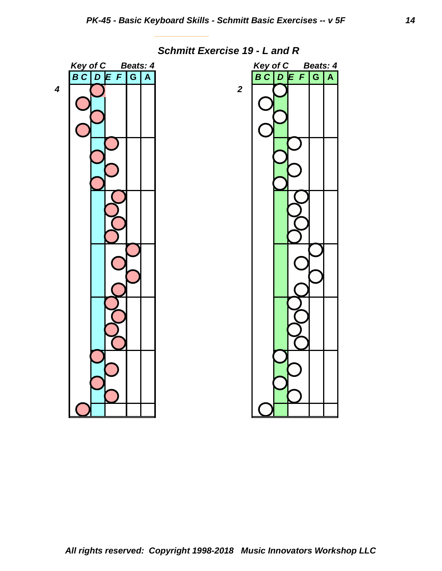

 *Schmitt Exercise 19 - L and R*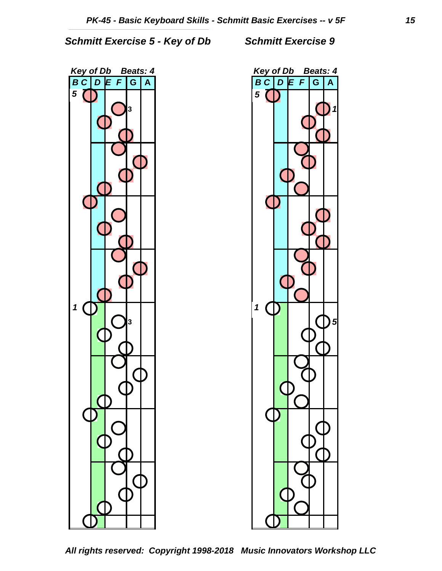*Schmitt Exercise 5 - Key of Db Schmitt Exercise 9* 





*All rights reserved: Copyright 1998-2018 Music Innovators Workshop LLC*